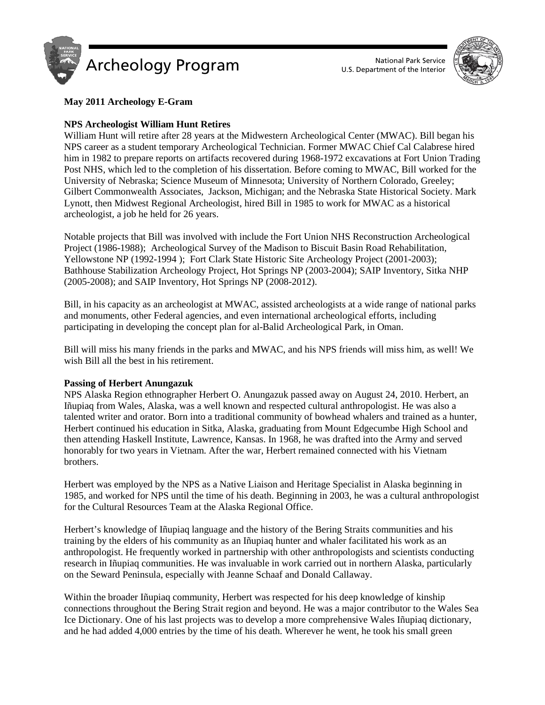



# **May 2011 Archeology E-Gram**

## **NPS Archeologist William Hunt Retires**

William Hunt will retire after 28 years at the Midwestern Archeological Center (MWAC). Bill began his NPS career as a student temporary Archeological Technician. Former MWAC Chief Cal Calabrese hired him in 1982 to prepare reports on artifacts recovered during 1968-1972 excavations at Fort Union Trading Post NHS, which led to the completion of his dissertation. Before coming to MWAC, Bill worked for the University of Nebraska; Science Museum of Minnesota; University of Northern Colorado, Greeley; Gilbert Commonwealth Associates, Jackson, Michigan; and the Nebraska State Historical Society. Mark Lynott, then Midwest Regional Archeologist, hired Bill in 1985 to work for MWAC as a historical archeologist, a job he held for 26 years.

Notable projects that Bill was involved with include the Fort Union NHS Reconstruction Archeological Project (1986-1988); Archeological Survey of the Madison to Biscuit Basin Road Rehabilitation, Yellowstone NP (1992-1994 ); Fort Clark State Historic Site Archeology Project (2001-2003); Bathhouse Stabilization Archeology Project, Hot Springs NP (2003-2004); SAIP Inventory, Sitka NHP (2005-2008); and SAIP Inventory, Hot Springs NP (2008-2012).

Bill, in his capacity as an archeologist at MWAC, assisted archeologists at a wide range of national parks and monuments, other Federal agencies, and even international archeological efforts, including participating in developing the concept plan for al-Balid Archeological Park, in Oman.

Bill will miss his many friends in the parks and MWAC, and his NPS friends will miss him, as well! We wish Bill all the best in his retirement.

#### **Passing of Herbert Anungazuk**

NPS Alaska Region ethnographer Herbert O. Anungazuk passed away on August 24, 2010. Herbert, an Iñupiaq from Wales, Alaska, was a well known and respected cultural anthropologist. He was also a talented writer and orator. Born into a traditional community of bowhead whalers and trained as a hunter, Herbert continued his education in Sitka, Alaska, graduating from Mount Edgecumbe High School and then attending Haskell Institute, Lawrence, Kansas. In 1968, he was drafted into the Army and served honorably for two years in Vietnam. After the war, Herbert remained connected with his Vietnam brothers.

Herbert was employed by the NPS as a Native Liaison and Heritage Specialist in Alaska beginning in 1985, and worked for NPS until the time of his death. Beginning in 2003, he was a cultural anthropologist for the Cultural Resources Team at the Alaska Regional Office.

Herbert's knowledge of Iñupiaq language and the history of the Bering Straits communities and his training by the elders of his community as an Iñupiaq hunter and whaler facilitated his work as an anthropologist. He frequently worked in partnership with other anthropologists and scientists conducting research in Iñupiaq communities. He was invaluable in work carried out in northern Alaska, particularly on the Seward Peninsula, especially with Jeanne Schaaf and Donald Callaway.

Within the broader Iñupiaq community, Herbert was respected for his deep knowledge of kinship connections throughout the Bering Strait region and beyond. He was a major contributor to the Wales Sea Ice Dictionary. One of his last projects was to develop a more comprehensive Wales Iñupiaq dictionary, and he had added 4,000 entries by the time of his death. Wherever he went, he took his small green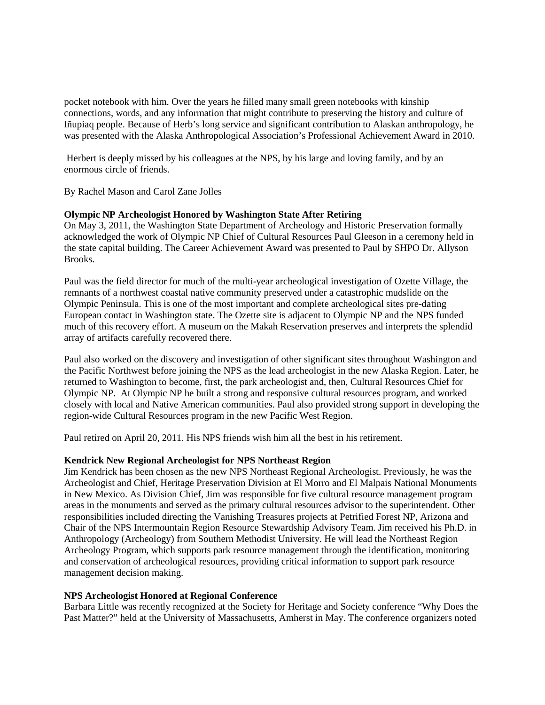pocket notebook with him. Over the years he filled many small green notebooks with kinship connections, words, and any information that might contribute to preserving the history and culture of Iñupiaq people. Because of Herb's long service and significant contribution to Alaskan anthropology, he was presented with the Alaska Anthropological Association's Professional Achievement Award in 2010.

Herbert is deeply missed by his colleagues at the NPS, by his large and loving family, and by an enormous circle of friends.

By Rachel Mason and Carol Zane Jolles

## **Olympic NP Archeologist Honored by Washington State After Retiring**

On May 3, 2011, the Washington State Department of Archeology and Historic Preservation formally acknowledged the work of Olympic NP Chief of Cultural Resources Paul Gleeson in a ceremony held in the state capital building. The Career Achievement Award was presented to Paul by SHPO Dr. Allyson Brooks.

Paul was the field director for much of the multi-year archeological investigation of Ozette Village, the remnants of a northwest coastal native community preserved under a catastrophic mudslide on the Olympic Peninsula. This is one of the most important and complete archeological sites pre-dating European contact in Washington state. The Ozette site is adjacent to Olympic NP and the NPS funded much of this recovery effort. A museum on the Makah Reservation preserves and interprets the splendid array of artifacts carefully recovered there.

Paul also worked on the discovery and investigation of other significant sites throughout Washington and the Pacific Northwest before joining the NPS as the lead archeologist in the new Alaska Region. Later, he returned to Washington to become, first, the park archeologist and, then, Cultural Resources Chief for Olympic NP. At Olympic NP he built a strong and responsive cultural resources program, and worked closely with local and Native American communities. Paul also provided strong support in developing the region-wide Cultural Resources program in the new Pacific West Region.

Paul retired on April 20, 2011. His NPS friends wish him all the best in his retirement.

#### **Kendrick New Regional Archeologist for NPS Northeast Region**

Jim Kendrick has been chosen as the new NPS Northeast Regional Archeologist. Previously, he was the Archeologist and Chief, Heritage Preservation Division at El Morro and El Malpais National Monuments in New Mexico. As Division Chief, Jim was responsible for five cultural resource management program areas in the monuments and served as the primary cultural resources advisor to the superintendent. Other responsibilities included directing the Vanishing Treasures projects at Petrified Forest NP, Arizona and Chair of the NPS Intermountain Region Resource Stewardship Advisory Team. Jim received his Ph.D. in Anthropology (Archeology) from Southern Methodist University. He will lead the Northeast Region Archeology Program, which supports park resource management through the identification, monitoring and conservation of archeological resources, providing critical information to support park resource management decision making.

#### **NPS Archeologist Honored at Regional Conference**

Barbara Little was recently recognized at the Society for Heritage and Society conference "Why Does the Past Matter?" held at the University of Massachusetts, Amherst in May. The conference organizers noted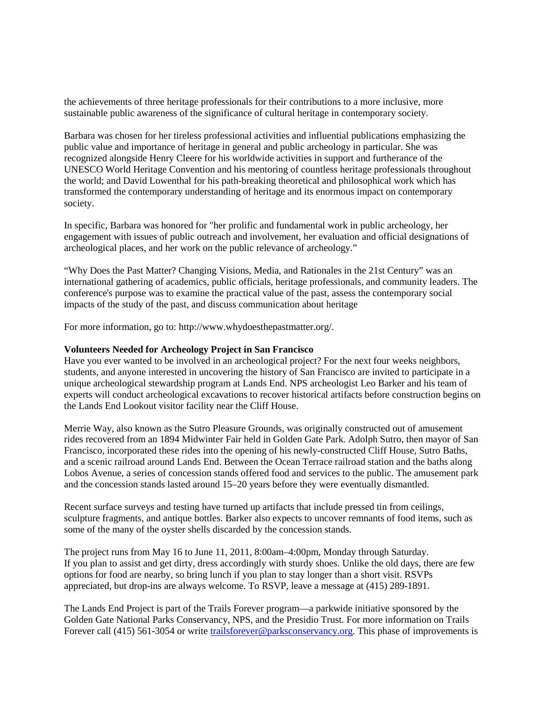the achievements of three heritage professionals for their contributions to a more inclusive, more sustainable public awareness of the significance of cultural heritage in contemporary society.

Barbara was chosen for her tireless professional activities and influential publications emphasizing the public value and importance of heritage in general and public archeology in particular. She was recognized alongside Henry Cleere for his worldwide activities in support and furtherance of the UNESCO World Heritage Convention and his mentoring of countless heritage professionals throughout the world; and David Lowenthal for his path-breaking theoretical and philosophical work which has transformed the contemporary understanding of heritage and its enormous impact on contemporary society.

In specific, Barbara was honored for "her prolific and fundamental work in public archeology, her engagement with issues of public outreach and involvement, her evaluation and official designations of archeological places, and her work on the public relevance of archeology."

"Why Does the Past Matter? Changing Visions, Media, and Rationales in the 21st Century" was an international gathering of academics, public officials, heritage professionals, and community leaders. The conference's purpose was to examine the practical value of the past, assess the contemporary social impacts of the study of the past, and discuss communication about heritage

For more information, go to: http://www.whydoesthepastmatter.org/.

#### **Volunteers Needed for Archeology Project in San Francisco**

Have you ever wanted to be involved in an archeological project? For the next four weeks neighbors, students, and anyone interested in uncovering the history of San Francisco are invited to participate in a unique archeological stewardship program at Lands End. NPS archeologist Leo Barker and his team of experts will conduct archeological excavations to recover historical artifacts before construction begins on the Lands End Lookout visitor facility near the Cliff House.

Merrie Way, also known as the Sutro Pleasure Grounds, was originally constructed out of amusement rides recovered from an 1894 Midwinter Fair held in Golden Gate Park. Adolph Sutro, then mayor of San Francisco, incorporated these rides into the opening of his newly-constructed Cliff House, Sutro Baths, and a scenic railroad around Lands End. Between the Ocean Terrace railroad station and the baths along Lobos Avenue, a series of concession stands offered food and services to the public. The amusement park and the concession stands lasted around 15–20 years before they were eventually dismantled.

Recent surface surveys and testing have turned up artifacts that include pressed tin from ceilings, sculpture fragments, and antique bottles. Barker also expects to uncover remnants of food items, such as some of the many of the oyster shells discarded by the concession stands.

The project runs from May 16 to June 11, 2011, 8:00am–4:00pm, Monday through Saturday. If you plan to assist and get dirty, dress accordingly with sturdy shoes. Unlike the old days, there are few options for food are nearby, so bring lunch if you plan to stay longer than a short visit. RSVPs appreciated, but drop-ins are always welcome. To RSVP, leave a message at (415) 289-1891.

The Lands End Project is part of the Trails Forever program—a parkwide initiative sponsored by the Golden Gate National Parks Conservancy, NPS, and the Presidio Trust. For more information on Trails Forever call (415) 561-3054 or write [trailsforever@parksconservancy.org.](http://www.nps.gov/PWR/sendmail.htm?o=B7Y%3F%3ALI%27%20J%3B%2E%26O%406JZS%3E%5BK%252658Q3N%29%5E%3A30FOB1W%2FR%2B%23%3C%5E%20%20%20%0A&r=/goga/parknews/2011-0513.htm) This phase of improvements is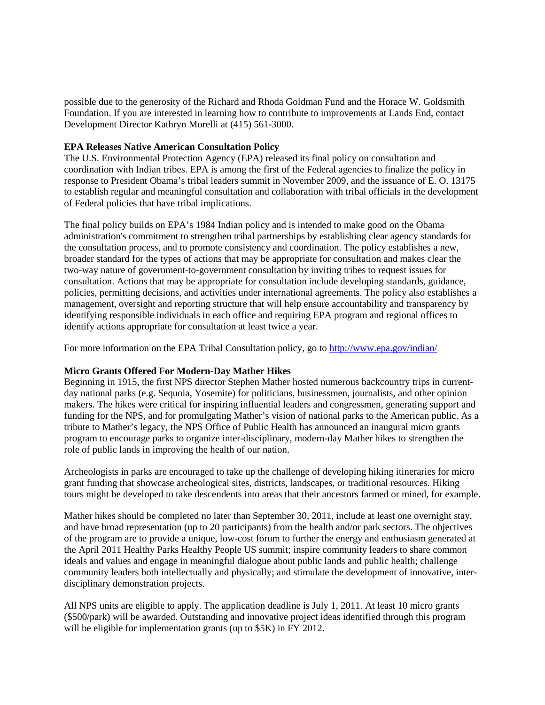possible due to the generosity of the Richard and Rhoda Goldman Fund and the Horace W. Goldsmith Foundation. If you are interested in learning how to contribute to improvements at Lands End, contact Development Director Kathryn Morelli at (415) 561-3000.

## **EPA Releases Native American Consultation Policy**

The U.S. Environmental Protection Agency (EPA) released its final policy on consultation and coordination with Indian tribes. EPA is among the first of the Federal agencies to finalize the policy in response to President Obama's tribal leaders summit in November 2009, and the issuance of E. O. 13175 to establish regular and meaningful consultation and collaboration with tribal officials in the development of Federal policies that have tribal implications.

The final policy builds on EPA's 1984 Indian policy and is intended to make good on the Obama administration's commitment to strengthen tribal partnerships by establishing clear agency standards for the consultation process, and to promote consistency and coordination. The policy establishes a new, broader standard for the types of actions that may be appropriate for consultation and makes clear the two-way nature of government-to-government consultation by inviting tribes to request issues for consultation. Actions that may be appropriate for consultation include developing standards, guidance, policies, permitting decisions, and activities under international agreements. The policy also establishes a management, oversight and reporting structure that will help ensure accountability and transparency by identifying responsible individuals in each office and requiring EPA program and regional offices to identify actions appropriate for consultation at least twice a year.

For more information on the EPA Tribal Consultation policy, go to<http://www.epa.gov/indian/>

#### **Micro Grants Offered For Modern-Day Mather Hikes**

Beginning in 1915, the first NPS director Stephen Mather hosted numerous backcountry trips in currentday national parks (e.g. Sequoia, Yosemite) for politicians, businessmen, journalists, and other opinion makers. The hikes were critical for inspiring influential leaders and congressmen, generating support and funding for the NPS, and for promulgating Mather's vision of national parks to the American public. As a tribute to Mather's legacy, the NPS Office of Public Health has announced an inaugural micro grants program to encourage parks to organize inter-disciplinary, modern-day Mather hikes to strengthen the role of public lands in improving the health of our nation.

Archeologists in parks are encouraged to take up the challenge of developing hiking itineraries for micro grant funding that showcase archeological sites, districts, landscapes, or traditional resources. Hiking tours might be developed to take descendents into areas that their ancestors farmed or mined, for example.

Mather hikes should be completed no later than September 30, 2011, include at least one overnight stay, and have broad representation (up to 20 participants) from the health and/or park sectors. The objectives of the program are to provide a unique, low-cost forum to further the energy and enthusiasm generated at the April 2011 Healthy Parks Healthy People US summit; inspire community leaders to share common ideals and values and engage in meaningful dialogue about public lands and public health; challenge community leaders both intellectually and physically; and stimulate the development of innovative, interdisciplinary demonstration projects.

All NPS units are eligible to apply. The application deadline is July 1, 2011. At least 10 micro grants (\$500/park) will be awarded. Outstanding and innovative project ideas identified through this program will be eligible for implementation grants (up to \$5K) in FY 2012.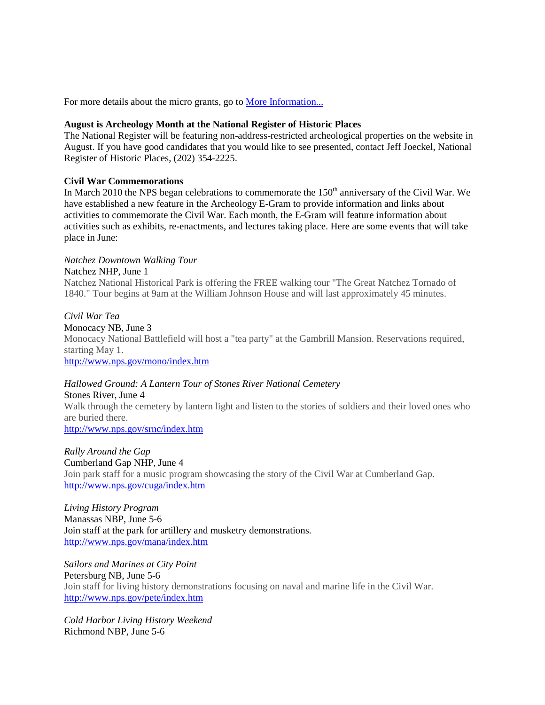For more details about the micro grants, go to **More Information...** 

## **August is Archeology Month at the National Register of Historic Places**

The National Register will be featuring non-address-restricted archeological properties on the website in August. If you have good candidates that you would like to see presented, contact Jeff Joeckel, National Register of Historic Places, (202) 354-2225.

## **Civil War Commemorations**

In March 2010 the NPS began celebrations to commemorate the 150<sup>th</sup> anniversary of the Civil War. We have established a new feature in the Archeology E-Gram to provide information and links about activities to commemorate the Civil War. Each month, the E-Gram will feature information about activities such as exhibits, re-enactments, and lectures taking place. Here are some events that will take place in June:

## *Natchez Downtown Walking Tour*

## Natchez NHP, June 1

Natchez National Historical Park is offering the FREE walking tour "The Great Natchez Tornado of 1840." Tour begins at 9am at the William Johnson House and will last approximately 45 minutes.

## *Civil War Tea*

Monocacy NB, June 3

Monocacy National Battlefield will host a "tea party" at the Gambrill Mansion. Reservations required, starting May 1.

<http://www.nps.gov/mono/index.htm>

# *Hallowed Ground: A Lantern Tour of Stones River National Cemetery*

Stones River, June 4 Walk through the cemetery by lantern light and listen to the stories of soldiers and their loved ones who are buried there. <http://www.nps.gov/srnc/index.htm>

*Rally Around the Gap* Cumberland Gap NHP, June 4 Join park staff for a music program showcasing the story of the Civil War at Cumberland Gap. <http://www.nps.gov/cuga/index.htm>

*Living History Program* Manassas NBP, June 5-6 Join staff at the park for artillery and musketry demonstrations. <http://www.nps.gov/mana/index.htm>

*Sailors and Marines at City Point* Petersburg NB, June 5-6 Join staff for living history demonstrations focusing on naval and marine life in the Civil War. <http://www.nps.gov/pete/index.htm>

*Cold Harbor Living History Weekend* Richmond NBP, June 5-6